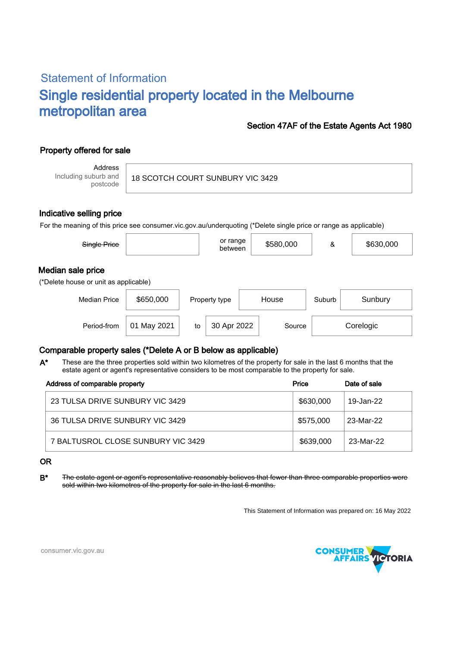# Statement of Information Single residential property located in the Melbourne metropolitan area

### Section 47AF of the Estate Agents Act 1980

## Property offered for sale

Address Including suburb and postcode

18 SCOTCH COURT SUNBURY VIC 3429

#### Indicative selling price

For the meaning of this price see consumer.vic.gov.au/underquoting (\*Delete single price or range as applicable)

| Single Price                                               |             |    | or range<br>between |       | \$580,000 | &                 | \$630,000 |  |  |
|------------------------------------------------------------|-------------|----|---------------------|-------|-----------|-------------------|-----------|--|--|
| Median sale price<br>(*Delete house or unit as applicable) |             |    |                     |       |           |                   |           |  |  |
| <b>Median Price</b>                                        | \$650,000   |    | Property type       | House |           | Suburb<br>Sunbury |           |  |  |
| Period-from                                                | 01 May 2021 | to | 30 Apr 2022         |       | Source    | Corelogic         |           |  |  |

### Comparable property sales (\*Delete A or B below as applicable)

These are the three properties sold within two kilometres of the property for sale in the last 6 months that the estate agent or agent's representative considers to be most comparable to the property for sale. A\*

| Address of comparable property     | Price     | Date of sale |  |
|------------------------------------|-----------|--------------|--|
| 23 TULSA DRIVE SUNBURY VIC 3429    | \$630,000 | 19-Jan-22    |  |
| 36 TULSA DRIVE SUNBURY VIC 3429    | \$575.000 | 23-Mar-22    |  |
| 7 BALTUSROL CLOSE SUNBURY VIC 3429 | \$639,000 | 23-Mar-22    |  |

OR

B\* The estate agent or agent's representative reasonably believes that fewer than three comparable properties were sold within two kilometres of the property for sale in the last 6 months.

This Statement of Information was prepared on: 16 May 2022



consumer.vic.gov.au